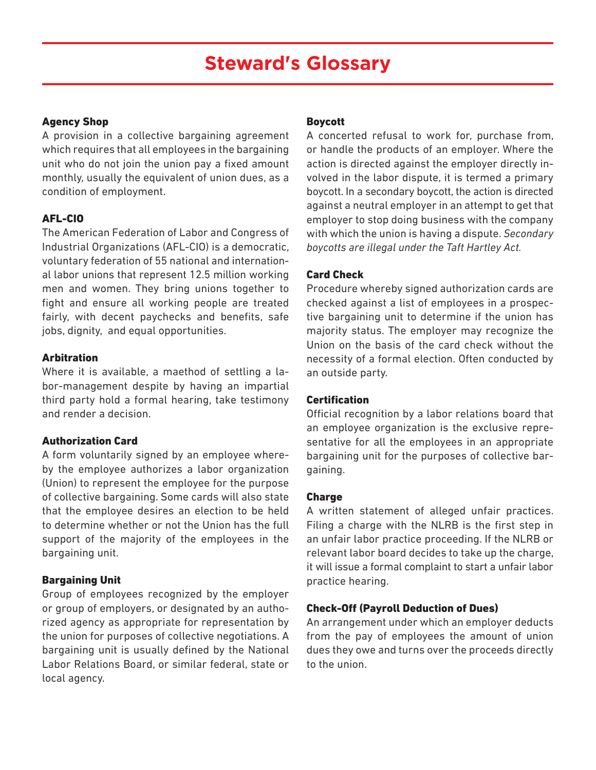# **Steward's Glossary**

#### Agency Shop

A provision in a collective bargaining agreement which requires that all employees in the bargaining unit who do not join the union pay a fixed amount monthly, usually the equivalent of union dues, as a condition of employment.

#### AFL-CIO

The American Federation of Labor and Congress of Industrial Organizations (AFL-CIO) is a democratic, voluntary federation of 55 national and international labor unions that represent 12.5 million working men and women. They bring unions together to fight and ensure all working people are treated fairly, with decent paychecks and benefits, safe jobs, dignity, and equal opportunities.

#### **Arbitration**

Where it is available, a maethod of settling a labor-management despite by having an impartial third party hold a formal hearing, take testimony and render a decision.

#### Authorization Card

A form voluntarily signed by an employee whereby the employee authorizes a labor organization (Union) to represent the employee for the purpose of collective bargaining. Some cards will also state that the employee desires an election to be held to determine whether or not the Union has the full support of the majority of the employees in the bargaining unit.

#### Bargaining Unit

Group of employees recognized by the employer or group of employers, or designated by an authorized agency as appropriate for representation by the union for purposes of collective negotiations. A bargaining unit is usually defined by the National Labor Relations Board, or similar federal, state or local agency.

#### Boycott

A concerted refusal to work for, purchase from, or handle the products of an employer. Where the action is directed against the employer directly involved in the labor dispute, it is termed a primary boycott. In a secondary boycott, the action is directed against a neutral employer in an attempt to get that employer to stop doing business with the company with which the union is having a dispute. *Secondary boycotts are illegal under the Taft Hartley Act.*

#### Card Check

Procedure whereby signed authorization cards are checked against a list of employees in a prospective bargaining unit to determine if the union has majority status. The employer may recognize the Union on the basis of the card check without the necessity of a formal election. Often conducted by an outside party.

#### **Certification**

Official recognition by a labor relations board that an employee organization is the exclusive representative for all the employees in an appropriate bargaining unit for the purposes of collective bargaining.

#### Charge

A written statement of alleged unfair practices. Filing a charge with the NLRB is the first step in an unfair labor practice proceeding. If the NLRB or relevant labor board decides to take up the charge, it will issue a formal complaint to start a unfair labor practice hearing.

#### Check-Off (Payroll Deduction of Dues)

An arrangement under which an employer deducts from the pay of employees the amount of union dues they owe and turns over the proceeds directly to the union.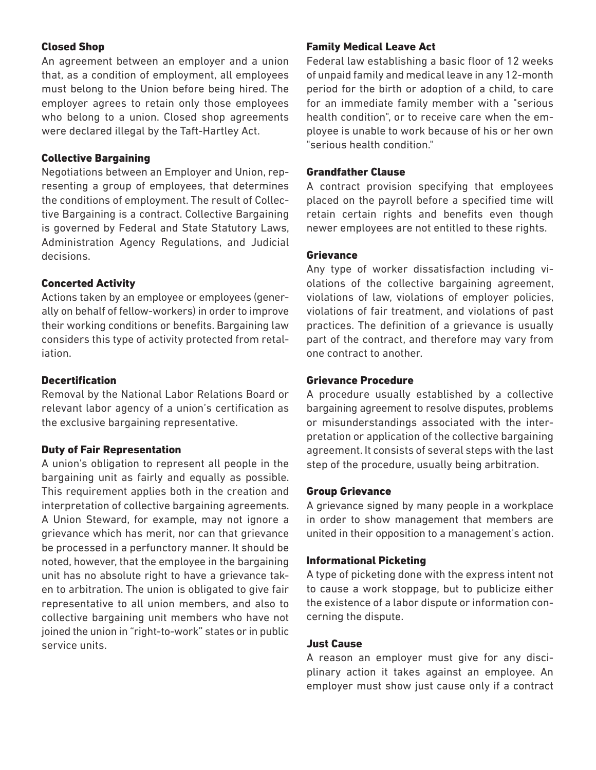#### Closed Shop

An agreement between an employer and a union that, as a condition of employment, all employees must belong to the Union before being hired. The employer agrees to retain only those employees who belong to a union. Closed shop agreements were declared illegal by the Taft-Hartley Act.

#### Collective Bargaining

Negotiations between an Employer and Union, representing a group of employees, that determines the conditions of employment. The result of Collective Bargaining is a contract. Collective Bargaining is governed by Federal and State Statutory Laws, Administration Agency Regulations, and Judicial decisions.

# Concerted Activity

Actions taken by an employee or employees (generally on behalf of fellow-workers) in order to improve their working conditions or benefits. Bargaining law considers this type of activity protected from retaliation.

# **Decertification**

Removal by the National Labor Relations Board or relevant labor agency of a union's certification as the exclusive bargaining representative.

#### Duty of Fair Representation

A union's obligation to represent all people in the bargaining unit as fairly and equally as possible. This requirement applies both in the creation and interpretation of collective bargaining agreements. A Union Steward, for example, may not ignore a grievance which has merit, nor can that grievance be processed in a perfunctory manner. It should be noted, however, that the employee in the bargaining unit has no absolute right to have a grievance taken to arbitration. The union is obligated to give fair representative to all union members, and also to collective bargaining unit members who have not joined the union in "right-to-work" states or in public service units.

# Family Medical Leave Act

Federal law establishing a basic floor of 12 weeks of unpaid family and medical leave in any 12-month period for the birth or adoption of a child, to care for an immediate family member with a "serious health condition", or to receive care when the employee is unable to work because of his or her own "serious health condition."

#### Grandfather Clause

A contract provision specifying that employees placed on the payroll before a specified time will retain certain rights and benefits even though newer employees are not entitled to these rights.

#### Grievance

Any type of worker dissatisfaction including violations of the collective bargaining agreement, violations of law, violations of employer policies, violations of fair treatment, and violations of past practices. The definition of a grievance is usually part of the contract, and therefore may vary from one contract to another.

#### Grievance Procedure

A procedure usually established by a collective bargaining agreement to resolve disputes, problems or misunderstandings associated with the interpretation or application of the collective bargaining agreement. It consists of several steps with the last step of the procedure, usually being arbitration.

#### Group Grievance

A grievance signed by many people in a workplace in order to show management that members are united in their opposition to a management's action.

#### Informational Picketing

A type of picketing done with the express intent not to cause a work stoppage, but to publicize either the existence of a labor dispute or information concerning the dispute.

# Just Cause

A reason an employer must give for any disciplinary action it takes against an employee. An employer must show just cause only if a contract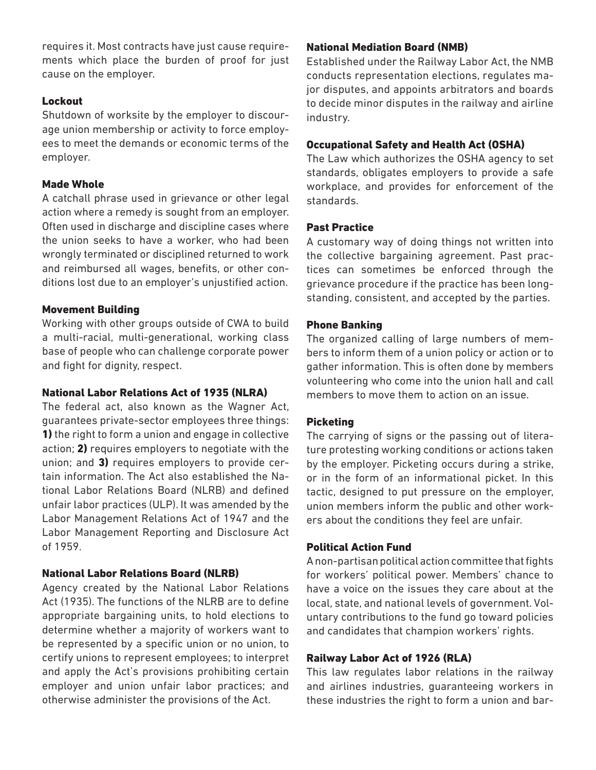requires it. Most contracts have just cause requirements which place the burden of proof for just cause on the employer.

#### **Lockout**

Shutdown of worksite by the employer to discourage union membership or activity to force employees to meet the demands or economic terms of the employer.

#### Made Whole

A catchall phrase used in grievance or other legal action where a remedy is sought from an employer. Often used in discharge and discipline cases where the union seeks to have a worker, who had been wrongly terminated or disciplined returned to work and reimbursed all wages, benefits, or other conditions lost due to an employer's unjustified action.

#### Movement Building

Working with other groups outside of CWA to build a multi-racial, multi-generational, working class base of people who can challenge corporate power and fight for dignity, respect.

#### National Labor Relations Act of 1935 (NLRA)

The federal act, also known as the Wagner Act, guarantees private-sector employees three things: 1) the right to form a union and engage in collective action; 2) requires employers to negotiate with the union; and 3) requires employers to provide certain information. The Act also established the National Labor Relations Board (NLRB) and defined unfair labor practices (ULP). It was amended by the Labor Management Relations Act of 1947 and the Labor Management Reporting and Disclosure Act of 1959.

# National Labor Relations Board (NLRB)

Agency created by the National Labor Relations Act (1935). The functions of the NLRB are to define appropriate bargaining units, to hold elections to determine whether a majority of workers want to be represented by a specific union or no union, to certify unions to represent employees; to interpret and apply the Act's provisions prohibiting certain employer and union unfair labor practices; and otherwise administer the provisions of the Act.

## National Mediation Board (NMB)

Established under the Railway Labor Act, the NMB conducts representation elections, regulates major disputes, and appoints arbitrators and boards to decide minor disputes in the railway and airline industry.

## Occupational Safety and Health Act (OSHA)

The Law which authorizes the OSHA agency to set standards, obligates employers to provide a safe workplace, and provides for enforcement of the standards.

#### Past Practice

A customary way of doing things not written into the collective bargaining agreement. Past practices can sometimes be enforced through the grievance procedure if the practice has been longstanding, consistent, and accepted by the parties.

#### Phone Banking

The organized calling of large numbers of members to inform them of a union policy or action or to gather information. This is often done by members volunteering who come into the union hall and call members to move them to action on an issue.

#### **Picketing**

The carrying of signs or the passing out of literature protesting working conditions or actions taken by the employer. Picketing occurs during a strike, or in the form of an informational picket. In this tactic, designed to put pressure on the employer, union members inform the public and other workers about the conditions they feel are unfair.

# Political Action Fund

A non-partisan political action committee that fights for workers' political power. Members' chance to have a voice on the issues they care about at the local, state, and national levels of government. Voluntary contributions to the fund go toward policies and candidates that champion workers' rights.

# Railway Labor Act of 1926 (RLA)

This law regulates labor relations in the railway and airlines industries, guaranteeing workers in these industries the right to form a union and bar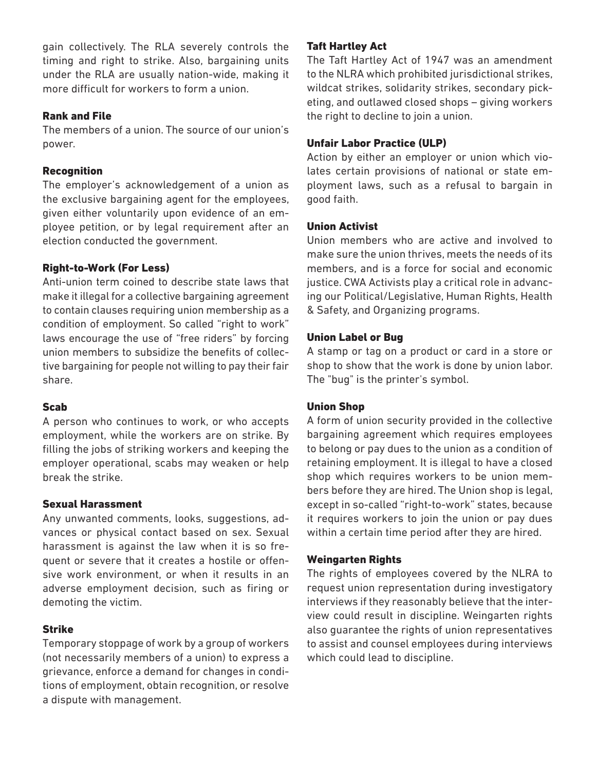gain collectively. The RLA severely controls the timing and right to strike. Also, bargaining units under the RLA are usually nation-wide, making it more difficult for workers to form a union.

#### Rank and File

The members of a union. The source of our union's power.

# **Recognition**

The employer's acknowledgement of a union as the exclusive bargaining agent for the employees, given either voluntarily upon evidence of an employee petition, or by legal requirement after an election conducted the government.

# Right-to-Work (For Less)

Anti-union term coined to describe state laws that make it illegal for a collective bargaining agreement to contain clauses requiring union membership as a condition of employment. So called "right to work" laws encourage the use of "free riders" by forcing union members to subsidize the benefits of collective bargaining for people not willing to pay their fair share.

# Scab

A person who continues to work, or who accepts employment, while the workers are on strike. By filling the jobs of striking workers and keeping the employer operational, scabs may weaken or help break the strike.

#### Sexual Harassment

Any unwanted comments, looks, suggestions, advances or physical contact based on sex. Sexual harassment is against the law when it is so frequent or severe that it creates a hostile or offensive work environment, or when it results in an adverse employment decision, such as firing or demoting the victim.

# Strike

Temporary stoppage of work by a group of workers (not necessarily members of a union) to express a grievance, enforce a demand for changes in conditions of employment, obtain recognition, or resolve a dispute with management.

# Taft Hartley Act

The Taft Hartley Act of 1947 was an amendment to the NLRA which prohibited jurisdictional strikes, wildcat strikes, solidarity strikes, secondary picketing, and outlawed closed shops – giving workers the right to decline to join a union.

# Unfair Labor Practice (ULP)

Action by either an employer or union which violates certain provisions of national or state employment laws, such as a refusal to bargain in good faith.

# Union Activist

Union members who are active and involved to make sure the union thrives, meets the needs of its members, and is a force for social and economic justice. CWA Activists play a critical role in advancing our Political/Legislative, Human Rights, Health & Safety, and Organizing programs.

# Union Label or Bug

A stamp or tag on a product or card in a store or shop to show that the work is done by union labor. The "bug" is the printer's symbol.

# Union Shop

A form of union security provided in the collective bargaining agreement which requires employees to belong or pay dues to the union as a condition of retaining employment. It is illegal to have a closed shop which requires workers to be union members before they are hired. The Union shop is legal, except in so-called "right-to-work" states, because it requires workers to join the union or pay dues within a certain time period after they are hired.

# Weingarten Rights

The rights of employees covered by the NLRA to request union representation during investigatory interviews if they reasonably believe that the interview could result in discipline. Weingarten rights also guarantee the rights of union representatives to assist and counsel employees during interviews which could lead to discipline.